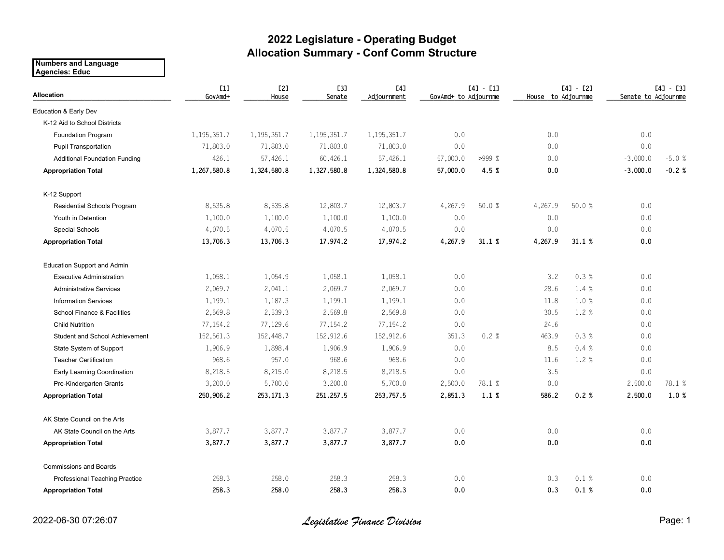## **2022 Legislature - Operating Budget Allocation Summary - Conf Comm Structure**

**Numbers and Language Agencies: Educ**

| <b>Allocation</b>                      | L1<br>GovAmd+ | <b>[2]</b><br>House | <b>[3]</b><br>Senate | [4]<br>Adjournment | $[4] - [1]$<br>GovAmd+ to Adjournme |        | $[4] - [2]$<br>House to Adjournme |        | $[4] - [3]$<br>Senate to Adjournme |         |
|----------------------------------------|---------------|---------------------|----------------------|--------------------|-------------------------------------|--------|-----------------------------------|--------|------------------------------------|---------|
| Education & Early Dev                  |               |                     |                      |                    |                                     |        |                                   |        |                                    |         |
| K-12 Aid to School Districts           |               |                     |                      |                    |                                     |        |                                   |        |                                    |         |
| Foundation Program                     | 1,195,351.7   | 1,195,351.7         | 1,195,351.7          | 1,195,351.7        | 0.0                                 |        | 0.0                               |        | 0.0                                |         |
| <b>Pupil Transportation</b>            | 71,803.0      | 71,803.0            | 71,803.0             | 71,803.0           | 0.0                                 |        | 0.0                               |        | 0.0                                |         |
| <b>Additional Foundation Funding</b>   | 426.1         | 57,426.1            | 60,426.1             | 57,426.1           | 57,000.0                            | >999%  | 0.0                               |        | $-3,000.0$                         | $-5.0%$ |
| <b>Appropriation Total</b>             | 1,267,580.8   | 1,324,580.8         | 1,327,580.8          | 1,324,580.8        | 57,000.0                            | 4.5%   | 0.0                               |        | $-3,000.0$                         | $-0.2%$ |
| K-12 Support                           |               |                     |                      |                    |                                     |        |                                   |        |                                    |         |
| Residential Schools Program            | 8,535.8       | 8,535.8             | 12,803.7             | 12,803.7           | 4,267.9                             | 50.0 % | 4,267.9                           | 50.0 % | 0.0                                |         |
| Youth in Detention                     | 1,100.0       | 1,100.0             | 1,100.0              | 1,100.0            | 0.0                                 |        | 0.0                               |        | 0.0                                |         |
| Special Schools                        | 4,070.5       | 4,070.5             | 4,070.5              | 4,070.5            | 0.0                                 |        | 0.0                               |        | 0.0                                |         |
| <b>Appropriation Total</b>             | 13,706.3      | 13,706.3            | 17,974.2             | 17,974.2           | 4,267.9                             | 31.1%  | 4,267.9                           | 31.1%  | 0.0                                |         |
| Education Support and Admin            |               |                     |                      |                    |                                     |        |                                   |        |                                    |         |
| <b>Executive Administration</b>        | 1,058.1       | 1,054.9             | 1,058.1              | 1,058.1            | 0.0                                 |        | 3.2                               | 0.3%   | 0.0                                |         |
| <b>Administrative Services</b>         | 2,069.7       | 2,041.1             | 2,069.7              | 2,069.7            | 0.0                                 |        | 28.6                              | 1.4%   | $0.0\,$                            |         |
| <b>Information Services</b>            | 1,199.1       | 1,187.3             | 1,199.1              | 1,199.1            | 0.0                                 |        | 11.8                              | 1.0%   | 0.0                                |         |
| <b>School Finance &amp; Facilities</b> | 2,569.8       | 2,539.3             | 2,569.8              | 2,569.8            | 0.0                                 |        | 30.5                              | 1.2 %  | 0.0                                |         |
| <b>Child Nutrition</b>                 | 77,154.2      | 77,129.6            | 77,154.2             | 77,154.2           | 0.0                                 |        | 24.6                              |        | 0.0                                |         |
| Student and School Achievement         | 152,561.3     | 152,448.7           | 152,912.6            | 152,912.6          | 351.3                               | 0.2%   | 463.9                             | 0.3%   | 0.0                                |         |
| State System of Support                | 1,906.9       | 1,898.4             | 1,906.9              | 1,906.9            | 0.0                                 |        | 8.5                               | 0.4%   | 0.0                                |         |
| <b>Teacher Certification</b>           | 968.6         | 957.0               | 968.6                | 968.6              | 0.0                                 |        | 11.6                              | 1.2%   | 0.0                                |         |
| Early Learning Coordination            | 8,218.5       | 8,215.0             | 8,218.5              | 8,218.5            | 0.0                                 |        | 3.5                               |        | 0.0                                |         |
| Pre-Kindergarten Grants                | 3,200.0       | 5,700.0             | 3,200.0              | 5,700.0            | 2,500.0                             | 78.1 % | 0.0                               |        | 2,500.0                            | 78.1 %  |
| <b>Appropriation Total</b>             | 250,906.2     | 253,171.3           | 251,257.5            | 253,757.5          | 2,851.3                             | 1.1%   | 586.2                             | 0.2%   | 2,500.0                            | 1.0%    |
| AK State Council on the Arts           |               |                     |                      |                    |                                     |        |                                   |        |                                    |         |
| AK State Council on the Arts           | 3,877.7       | 3,877.7             | 3,877.7              | 3,877.7            | 0.0                                 |        | 0.0                               |        | 0.0                                |         |
| <b>Appropriation Total</b>             | 3,877.7       | 3,877.7             | 3,877.7              | 3,877.7            | 0.0                                 |        | 0.0                               |        | 0.0                                |         |
| <b>Commissions and Boards</b>          |               |                     |                      |                    |                                     |        |                                   |        |                                    |         |
| Professional Teaching Practice         | 258.3         | 258.0               | 258.3                | 258.3              | 0.0                                 |        | 0.3                               | 0.1%   | 0.0                                |         |
| <b>Appropriation Total</b>             | 258.3         | 258.0               | 258.3                | 258.3              | 0.0                                 |        | 0.3                               | 0.1%   | 0.0                                |         |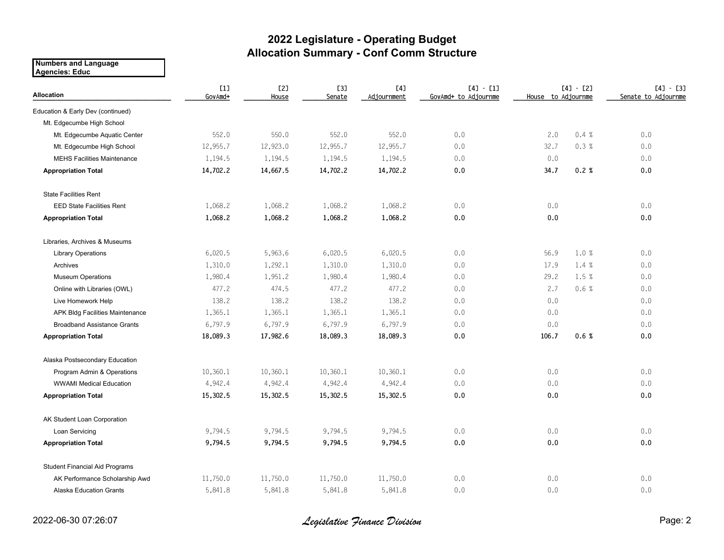## **2022 Legislature - Operating Budget Allocation Summary - Conf Comm Structure**

**Numbers and Language Agencies: Educ**

| <b>Allocation</b>                     | [1]<br>GovAmd+ | <b>[2]</b><br>House | <b>[3]</b><br>Senate | [4]<br>Adjournment | $[4] - [1]$<br>GovAmd+ to Adjournme | $[4] - [2]$<br>House to Adjournme |       | $[4] - [3]$<br>Senate to Adjournme |  |
|---------------------------------------|----------------|---------------------|----------------------|--------------------|-------------------------------------|-----------------------------------|-------|------------------------------------|--|
| Education & Early Dev (continued)     |                |                     |                      |                    |                                     |                                   |       |                                    |  |
| Mt. Edgecumbe High School             |                |                     |                      |                    |                                     |                                   |       |                                    |  |
| Mt. Edgecumbe Aquatic Center          | 552.0          | 550.0               | 552.0                | 552.0              | 0.0                                 | 2.0                               | 0.4%  | 0.0                                |  |
| Mt. Edgecumbe High School             | 12,955.7       | 12,923.0            | 12,955.7             | 12,955.7           | 0.0                                 | 32.7                              | 0.3%  | 0.0                                |  |
| <b>MEHS Facilities Maintenance</b>    | 1,194.5        | 1,194.5             | 1,194.5              | 1,194.5            | 0.0                                 | 0.0                               |       | 0.0                                |  |
| <b>Appropriation Total</b>            | 14,702.2       | 14,667.5            | 14,702.2             | 14,702.2           | 0.0                                 | 34.7                              | 0.2%  | 0.0                                |  |
| <b>State Facilities Rent</b>          |                |                     |                      |                    |                                     |                                   |       |                                    |  |
| <b>EED State Facilities Rent</b>      | 1,068.2        | 1,068.2             | 1,068.2              | 1,068.2            | 0.0                                 | 0.0                               |       | 0.0                                |  |
| <b>Appropriation Total</b>            | 1,068.2        | 1,068.2             | 1,068.2              | 1,068.2            | 0.0                                 | 0.0                               |       | 0.0                                |  |
| Libraries, Archives & Museums         |                |                     |                      |                    |                                     |                                   |       |                                    |  |
| <b>Library Operations</b>             | 6,020.5        | 5,963.6             | 6,020.5              | 6,020.5            | 0.0                                 | 56.9                              | 1.0 % | 0.0                                |  |
| Archives                              | 1,310.0        | 1,292.1             | 1,310.0              | 1,310.0            | 0.0                                 | 17.9                              | 1.4%  | 0.0                                |  |
| <b>Museum Operations</b>              | 1,980.4        | 1,951.2             | 1,980.4              | 1,980.4            | 0.0                                 | 29.2                              | 1.5 % | 0.0                                |  |
| Online with Libraries (OWL)           | 477.2          | 474.5               | 477.2                | 477.2              | 0.0                                 | 2.7                               | 0.6%  | 0.0                                |  |
| Live Homework Help                    | 138.2          | 138.2               | 138.2                | 138.2              | 0.0                                 | 0.0                               |       | 0.0                                |  |
| APK Bldg Facilities Maintenance       | 1,365.1        | 1,365.1             | 1,365.1              | 1,365.1            | 0.0                                 | 0.0                               |       | 0.0                                |  |
| <b>Broadband Assistance Grants</b>    | 6,797.9        | 6,797.9             | 6,797.9              | 6,797.9            | 0.0                                 | 0.0                               |       | 0.0                                |  |
| <b>Appropriation Total</b>            | 18,089.3       | 17,982.6            | 18,089.3             | 18,089.3           | 0.0                                 | 106.7                             | 0.6%  | 0.0                                |  |
| Alaska Postsecondary Education        |                |                     |                      |                    |                                     |                                   |       |                                    |  |
| Program Admin & Operations            | 10,360.1       | 10,360.1            | 10,360.1             | 10,360.1           | 0.0                                 | 0.0                               |       | 0.0                                |  |
| <b>WWAMI Medical Education</b>        | 4,942.4        | 4,942.4             | 4,942.4              | 4,942.4            | 0.0                                 | 0.0                               |       | 0.0                                |  |
| <b>Appropriation Total</b>            | 15,302.5       | 15,302.5            | 15,302.5             | 15,302.5           | 0.0                                 | 0.0                               |       | 0.0                                |  |
| AK Student Loan Corporation           |                |                     |                      |                    |                                     |                                   |       |                                    |  |
| Loan Servicing                        | 9,794.5        | 9,794.5             | 9,794.5              | 9,794.5            | 0.0                                 | 0.0                               |       | 0.0                                |  |
| <b>Appropriation Total</b>            | 9,794.5        | 9,794.5             | 9,794.5              | 9,794.5            | 0.0                                 | 0.0                               |       | 0.0                                |  |
| <b>Student Financial Aid Programs</b> |                |                     |                      |                    |                                     |                                   |       |                                    |  |
| AK Performance Scholarship Awd        | 11,750.0       | 11,750.0            | 11,750.0             | 11,750.0           | 0.0                                 | 0.0                               |       | 0.0                                |  |
| <b>Alaska Education Grants</b>        | 5,841.8        | 5,841.8             | 5,841.8              | 5,841.8            | 0.0                                 | 0.0                               |       | 0.0                                |  |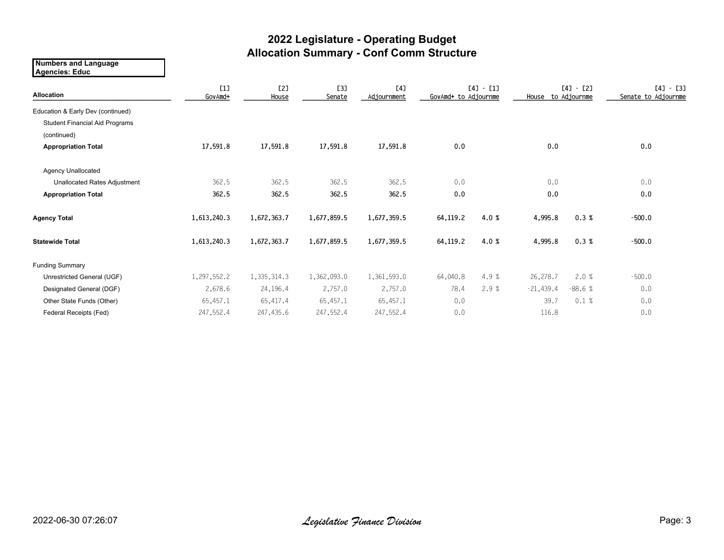## **2022 Legislature - Operating Budget Allocation Summary - Conf Comm Structure**

**Numbers and Language Agencies: Educ**

| Allocation                            | [1]<br>GovAmd+ | [2]<br>House | <b>[3]</b><br>Senate | [4]<br>Adjournment | $[4] - [1]$<br>GovAmd+ to Adjournme |      | $[4] - [2]$<br>House to Adjournme |          | $[4] - [3]$<br>Senate to Adjournme |  |
|---------------------------------------|----------------|--------------|----------------------|--------------------|-------------------------------------|------|-----------------------------------|----------|------------------------------------|--|
| Education & Early Dev (continued)     |                |              |                      |                    |                                     |      |                                   |          |                                    |  |
| <b>Student Financial Aid Programs</b> |                |              |                      |                    |                                     |      |                                   |          |                                    |  |
| (continued)                           |                |              |                      |                    |                                     |      |                                   |          |                                    |  |
| <b>Appropriation Total</b>            | 17,591.8       | 17,591.8     | 17,591.8             | 17,591.8           | 0.0                                 |      | 0.0                               |          | 0.0                                |  |
| <b>Agency Unallocated</b>             |                |              |                      |                    |                                     |      |                                   |          |                                    |  |
| Unallocated Rates Adjustment          | 362.5          | 362.5        | 362.5                | 362.5              | 0.0                                 |      | 0.0                               |          | 0.0                                |  |
| <b>Appropriation Total</b>            | 362.5          | 362.5        | 362.5                | 362.5              | 0.0                                 |      | 0.0                               |          | 0.0                                |  |
| <b>Agency Total</b>                   | 1,613,240.3    | 1,672,363.7  | 1,677,859.5          | 1,677,359.5        | 64,119.2                            | 4.0% | 4,995.8                           | 0.3%     | $-500.0$                           |  |
| <b>Statewide Total</b>                | 1,613,240.3    | 1,672,363.7  | 1,677,859.5          | 1,677,359.5        | 64,119.2                            | 4.0% | 4,995.8                           | 0.3%     | $-500.0$                           |  |
| <b>Funding Summary</b>                |                |              |                      |                    |                                     |      |                                   |          |                                    |  |
| Unrestricted General (UGF)            | 1,297,552.2    | 1,335,314.3  | 1,362,093.0          | 1,361,593.0        | 64,040.8                            | 4.9% | 26,278.7                          | 2.0%     | $-500.0$                           |  |
| Designated General (DGF)              | 2,678.6        | 24,196.4     | 2,757.0              | 2,757.0            | 78.4                                | 2.9% | $-21,439.4$                       | $-88.6%$ | 0.0                                |  |
| Other State Funds (Other)             | 65,457.1       | 65,417.4     | 65,457.1             | 65,457.1           | 0.0                                 |      | 39.7                              | 0.1%     | 0.0                                |  |
| Federal Receipts (Fed)                | 247,552.4      | 247,435.6    | 247,552.4            | 247,552.4          | 0.0                                 |      | 116.8                             |          | 0.0                                |  |